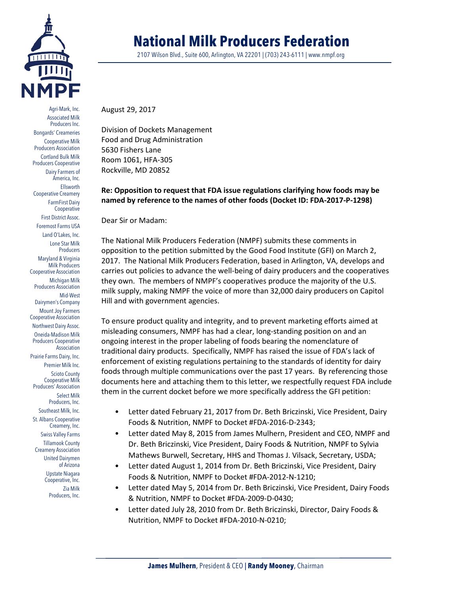

Agri-Mark, Inc. Associated Milk Producers Inc. Bongards' Creameries Cooperative Milk Producers Association Cortland Bulk Milk Producers Cooperative Dairy Farmers of America, Inc. Ellsworth Cooperative Creamery FarmFirst Dairy Cooperative First District Assoc. Foremost Farms USA Land O'Lakes, Inc. Lone Star Milk **Producers** Maryland & Virginia Milk Producers Cooperative Association Michigan Milk Producers Association Mid-West Dairymen's Company Mount Joy Farmers Cooperative Association Northwest Dairy Assoc. Oneida-Madison Milk Producers Cooperative Association Prairie Farms Dairy, Inc. Premier Milk Inc. Scioto County Cooperative Milk Producers' Association Select Milk Producers, Inc. Southeast Milk, Inc. St. Albans Cooperative Creamery, Inc. Swiss Valley Farms Tillamook County Creamery Association United Dairymen of Arizona Upstate Niagara Cooperative, Inc. Zia Milk Producers, Inc.

# **National Milk Producers Federation**

2107 Wilson Blvd., Suite 600, Arlington, VA 22201 | (703) 243-6111 | www.nmpf.org

August 29, 2017

Division of Dockets Management Food and Drug Administration 5630 Fishers Lane Room 1061, HFA-305 Rockville, MD 20852

# **Re: Opposition to request that FDA issue regulations clarifying how foods may be named by reference to the names of other foods (Docket ID: FDA-2017-P-1298)**

Dear Sir or Madam:

The National Milk Producers Federation (NMPF) submits these comments in opposition to the petition submitted by the Good Food Institute (GFI) on March 2, 2017. The National Milk Producers Federation, based in Arlington, VA, develops and carries out policies to advance the well-being of dairy producers and the cooperatives they own. The members of NMPF's cooperatives produce the majority of the U.S. milk supply, making NMPF the voice of more than 32,000 dairy producers on Capitol Hill and with government agencies.

To ensure product quality and integrity, and to prevent marketing efforts aimed at misleading consumers, NMPF has had a clear, long-standing position on and an ongoing interest in the proper labeling of foods bearing the nomenclature of traditional dairy products. Specifically, NMPF has raised the issue of FDA's lack of enforcement of existing regulations pertaining to the standards of identity for dairy foods through multiple communications over the past 17 years. By referencing those documents here and attaching them to this letter, we respectfully request FDA include them in the current docket before we more specifically address the GFI petition:

- Letter dated February 21, 2017 from Dr. Beth Briczinski, Vice President, Dairy Foods & Nutrition, NMPF to Docket #FDA-2016-D-2343;
- Letter dated May 8, 2015 from James Mulhern, President and CEO, NMPF and Dr. Beth Briczinski, Vice President, Dairy Foods & Nutrition, NMPF to Sylvia Mathews Burwell, Secretary, HHS and Thomas J. Vilsack, Secretary, USDA;
- Letter dated August 1, 2014 from Dr. Beth Briczinski, Vice President, Dairy Foods & Nutrition, NMPF to Docket #FDA-2012-N-1210;
- Letter dated May 5, 2014 from Dr. Beth Briczinski, Vice President, Dairy Foods & Nutrition, NMPF to Docket #FDA-2009-D-0430;
- Letter dated July 28, 2010 from Dr. Beth Briczinski, Director, Dairy Foods & Nutrition, NMPF to Docket #FDA-2010-N-0210;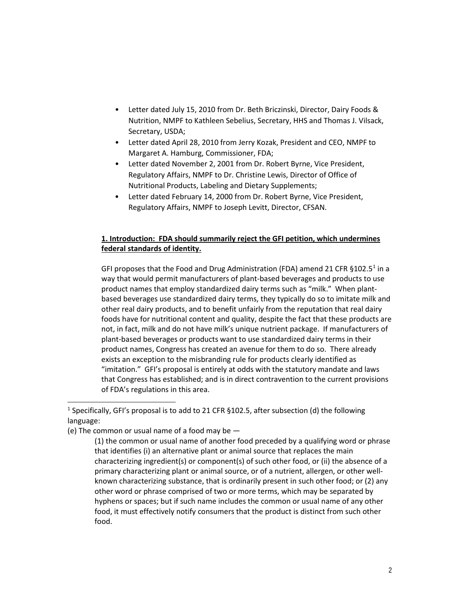- Letter dated July 15, 2010 from Dr. Beth Briczinski, Director, Dairy Foods & Nutrition, NMPF to Kathleen Sebelius, Secretary, HHS and Thomas J. Vilsack, Secretary, USDA;
- Letter dated April 28, 2010 from Jerry Kozak, President and CEO, NMPF to Margaret A. Hamburg, Commissioner, FDA;
- Letter dated November 2, 2001 from Dr. Robert Byrne, Vice President, Regulatory Affairs, NMPF to Dr. Christine Lewis, Director of Office of Nutritional Products, Labeling and Dietary Supplements;
- Letter dated February 14, 2000 from Dr. Robert Byrne, Vice President, Regulatory Affairs, NMPF to Joseph Levitt, Director, CFSAN.

# **1. Introduction: FDA should summarily reject the GFI petition, which undermines federal standards of identity.**

GFI proposes that the Food and Drug Administration (FDA) amend 2[1](#page-1-0) CFR  $\S 102.5<sup>1</sup>$  in a way that would permit manufacturers of plant-based beverages and products to use product names that employ standardized dairy terms such as "milk." When plantbased beverages use standardized dairy terms, they typically do so to imitate milk and other real dairy products, and to benefit unfairly from the reputation that real dairy foods have for nutritional content and quality, despite the fact that these products are not, in fact, milk and do not have milk's unique nutrient package. If manufacturers of plant-based beverages or products want to use standardized dairy terms in their product names, Congress has created an avenue for them to do so. There already exists an exception to the misbranding rule for products clearly identified as "imitation." GFI's proposal is entirely at odds with the statutory mandate and laws that Congress has established; and is in direct contravention to the current provisions of FDA's regulations in this area.

<span id="page-1-0"></span><sup>&</sup>lt;sup>1</sup> Specifically, GFI's proposal is to add to 21 CFR §102.5, after subsection (d) the following language:

<sup>(</sup>e) The common or usual name of a food may be —

<sup>(1)</sup> the common or usual name of another food preceded by a qualifying word or phrase that identifies (i) an alternative plant or animal source that replaces the main characterizing ingredient(s) or component(s) of such other food, or (ii) the absence of a primary characterizing plant or animal source, or of a nutrient, allergen, or other wellknown characterizing substance, that is ordinarily present in such other food; or (2) any other word or phrase comprised of two or more terms, which may be separated by hyphens or spaces; but if such name includes the common or usual name of any other food, it must effectively notify consumers that the product is distinct from such other food.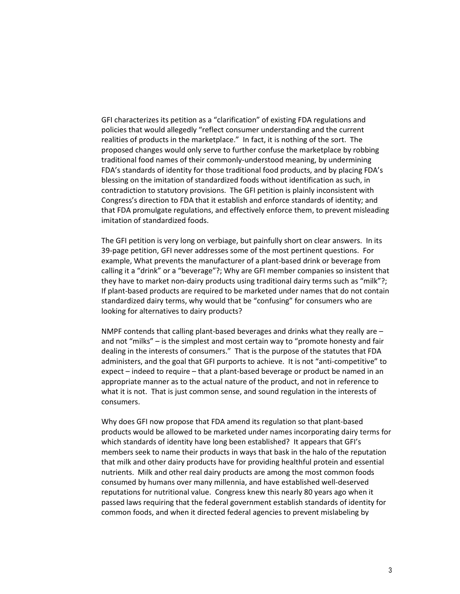GFI characterizes its petition as a "clarification" of existing FDA regulations and policies that would allegedly "reflect consumer understanding and the current realities of products in the marketplace." In fact, it is nothing of the sort. The proposed changes would only serve to further confuse the marketplace by robbing traditional food names of their commonly-understood meaning, by undermining FDA's standards of identity for those traditional food products, and by placing FDA's blessing on the imitation of standardized foods without identification as such, in contradiction to statutory provisions. The GFI petition is plainly inconsistent with Congress's direction to FDA that it establish and enforce standards of identity; and that FDA promulgate regulations, and effectively enforce them, to prevent misleading imitation of standardized foods.

The GFI petition is very long on verbiage, but painfully short on clear answers. In its 39-page petition, GFI never addresses some of the most pertinent questions. For example, What prevents the manufacturer of a plant-based drink or beverage from calling it a "drink" or a "beverage"?; Why are GFI member companies so insistent that they have to market non-dairy products using traditional dairy terms such as "milk"?; If plant-based products are required to be marketed under names that do not contain standardized dairy terms, why would that be "confusing" for consumers who are looking for alternatives to dairy products?

NMPF contends that calling plant-based beverages and drinks what they really are – and not "milks" – is the simplest and most certain way to "promote honesty and fair dealing in the interests of consumers." That is the purpose of the statutes that FDA administers, and the goal that GFI purports to achieve. It is not "anti-competitive" to expect – indeed to require – that a plant-based beverage or product be named in an appropriate manner as to the actual nature of the product, and not in reference to what it is not. That is just common sense, and sound regulation in the interests of consumers.

Why does GFI now propose that FDA amend its regulation so that plant-based products would be allowed to be marketed under names incorporating dairy terms for which standards of identity have long been established? It appears that GFI's members seek to name their products in ways that bask in the halo of the reputation that milk and other dairy products have for providing healthful protein and essential nutrients. Milk and other real dairy products are among the most common foods consumed by humans over many millennia, and have established well-deserved reputations for nutritional value. Congress knew this nearly 80 years ago when it passed laws requiring that the federal government establish standards of identity for common foods, and when it directed federal agencies to prevent mislabeling by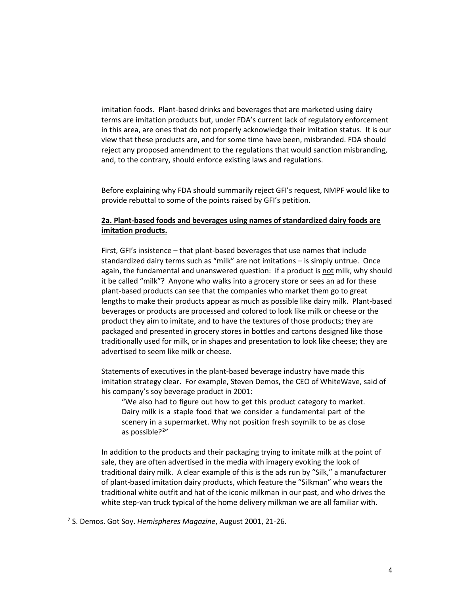imitation foods. Plant-based drinks and beverages that are marketed using dairy terms are imitation products but, under FDA's current lack of regulatory enforcement in this area, are ones that do not properly acknowledge their imitation status. It is our view that these products are, and for some time have been, misbranded. FDA should reject any proposed amendment to the regulations that would sanction misbranding, and, to the contrary, should enforce existing laws and regulations.

Before explaining why FDA should summarily reject GFI's request, NMPF would like to provide rebuttal to some of the points raised by GFI's petition.

## **2a. Plant-based foods and beverages using names of standardized dairy foods are imitation products.**

First, GFI's insistence – that plant-based beverages that use names that include standardized dairy terms such as "milk" are not imitations – is simply untrue. Once again, the fundamental and unanswered question: if a product is not milk, why should it be called "milk"? Anyone who walks into a grocery store or sees an ad for these plant-based products can see that the companies who market them go to great lengths to make their products appear as much as possible like dairy milk. Plant-based beverages or products are processed and colored to look like milk or cheese or the product they aim to imitate, and to have the textures of those products; they are packaged and presented in grocery stores in bottles and cartons designed like those traditionally used for milk, or in shapes and presentation to look like cheese; they are advertised to seem like milk or cheese.

Statements of executives in the plant-based beverage industry have made this imitation strategy clear. For example, Steven Demos, the CEO of WhiteWave, said of his company's soy beverage product in 2001:

"We also had to figure out how to get this product category to market. Dairy milk is a staple food that we consider a fundamental part of the scenery in a supermarket. Why not position fresh soymilk to be as close as possible?<sup>[2](#page-3-0)</sup>"

In addition to the products and their packaging trying to imitate milk at the point of sale, they are often advertised in the media with imagery evoking the look of traditional dairy milk. A clear example of this is the ads run by "Silk," a manufacturer of plant-based imitation dairy products, which feature the "Silkman" who wears the traditional white outfit and hat of the iconic milkman in our past, and who drives the white step-van truck typical of the home delivery milkman we are all familiar with.

<span id="page-3-0"></span><sup>2</sup> S. Demos. Got Soy. *Hemispheres Magazine*, August 2001, 21-26.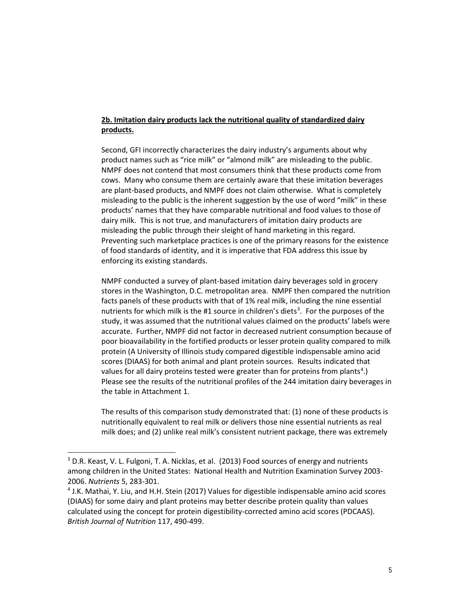# **2b. Imitation dairy products lack the nutritional quality of standardized dairy products.**

Second, GFI incorrectly characterizes the dairy industry's arguments about why product names such as "rice milk" or "almond milk" are misleading to the public. NMPF does not contend that most consumers think that these products come from cows. Many who consume them are certainly aware that these imitation beverages are plant-based products, and NMPF does not claim otherwise. What is completely misleading to the public is the inherent suggestion by the use of word "milk" in these products' names that they have comparable nutritional and food values to those of dairy milk. This is not true, and manufacturers of imitation dairy products are misleading the public through their sleight of hand marketing in this regard. Preventing such marketplace practices is one of the primary reasons for the existence of food standards of identity, and it is imperative that FDA address this issue by enforcing its existing standards.

NMPF conducted a survey of plant-based imitation dairy beverages sold in grocery stores in the Washington, D.C. metropolitan area. NMPF then compared the nutrition facts panels of these products with that of 1% real milk, including the nine essential nutrients for which milk is the #1 source in children's diets<sup>[3](#page-4-0)</sup>. For the purposes of the study, it was assumed that the nutritional values claimed on the products' labels were accurate. Further, NMPF did not factor in decreased nutrient consumption because of poor bioavailability in the fortified products or lesser protein quality compared to milk protein (A University of Illinois study compared digestible indispensable amino acid scores (DIAAS) for both animal and plant protein sources. Results indicated that values for all dairy proteins tested were greater than for proteins from plants<sup>[4](#page-4-1)</sup>.) Please see the results of the nutritional profiles of the 244 imitation dairy beverages in the table in Attachment 1.

The results of this comparison study demonstrated that: (1) none of these products is nutritionally equivalent to real milk or delivers those nine essential nutrients as real milk does; and (2) unlike real milk's consistent nutrient package, there was extremely

<span id="page-4-0"></span> $3$  D.R. Keast, V. L. Fulgoni, T. A. Nicklas, et al. (2013) Food sources of energy and nutrients among children in the United States: National Health and Nutrition Examination Survey 2003- 2006. *Nutrients* 5, 283-301.

<span id="page-4-1"></span><sup>4</sup> J.K. Mathai, Y. Liu, and H.H. Stein (2017) Values for digestible indispensable amino acid scores (DIAAS) for some dairy and plant proteins may better describe protein quality than values calculated using the concept for protein digestibility-corrected amino acid scores (PDCAAS). *British Journal of Nutrition* 117, 490-499.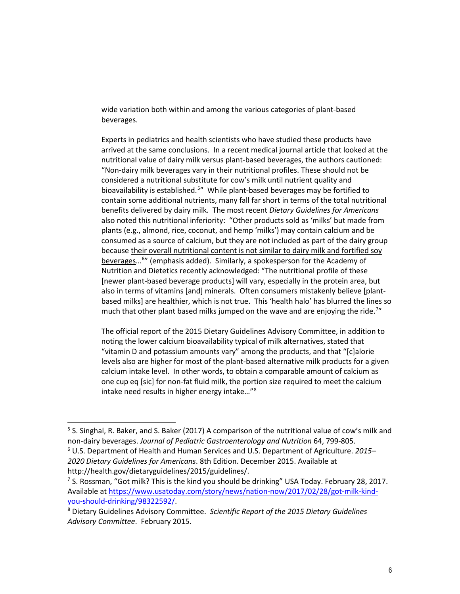wide variation both within and among the various categories of plant-based beverages.

Experts in pediatrics and health scientists who have studied these products have arrived at the same conclusions. In a recent medical journal article that looked at the nutritional value of dairy milk versus plant-based beverages, the authors cautioned: "Non-dairy milk beverages vary in their nutritional profiles. These should not be considered a nutritional substitute for cow's milk until nutrient quality and bioavailability is established.<sup>[5](#page-5-0)</sup> While plant-based beverages may be fortified to contain some additional nutrients, many fall far short in terms of the total nutritional benefits delivered by dairy milk. The most recent *Dietary Guidelines for Americans* also noted this nutritional inferiority: "Other products sold as 'milks' but made from plants (e.g., almond, rice, coconut, and hemp 'milks') may contain calcium and be consumed as a source of calcium, but they are not included as part of the dairy group because their overall nutritional content is not similar to dairy milk and fortified soy beverages...<sup>[6](#page-5-1)</sup>" (emphasis added). Similarly, a spokesperson for the Academy of Nutrition and Dietetics recently acknowledged: "The nutritional profile of these [newer plant-based beverage products] will vary, especially in the protein area, but also in terms of vitamins [and] minerals. Often consumers mistakenly believe [plantbased milks] are healthier, which is not true. This 'health halo' has blurred the lines so much that other plant based milks jumped on the wave and are enjoying the ride.<sup>[7](#page-5-2)</sup>"

The official report of the 2015 Dietary Guidelines Advisory Committee, in addition to noting the lower calcium bioavailability typical of milk alternatives, stated that "vitamin D and potassium amounts vary" among the products, and that "[c]alorie levels also are higher for most of the plant-based alternative milk products for a given calcium intake level. In other words, to obtain a comparable amount of calcium as one cup eq [sic] for non-fat fluid milk, the portion size required to meet the calcium intake need results in higher energy intake…"[8](#page-5-3)

<span id="page-5-0"></span><sup>&</sup>lt;sup>5</sup> S. Singhal, R. Baker, and S. Baker (2017) A comparison of the nutritional value of cow's milk and non-dairy beverages. *Journal of Pediatric Gastroenterology and Nutrition* 64, 799-805.

<span id="page-5-1"></span><sup>6</sup> U.S. Department of Health and Human Services and U.S. Department of Agriculture. *2015– 2020 Dietary Guidelines for Americans*. 8th Edition. December 2015. Available at http://health.gov/dietaryguidelines/2015/guidelines/.

<span id="page-5-2"></span><sup>7</sup> S. Rossman, "Got milk? This is the kind you should be drinking" USA Today. February 28, 2017. Available a[t https://www.usatoday.com/story/news/nation-now/2017/02/28/got-milk-kind](https://www.usatoday.com/story/news/nation-now/2017/02/28/got-milk-kind-you-should-drinking/98322592/)[you-should-drinking/98322592/.](https://www.usatoday.com/story/news/nation-now/2017/02/28/got-milk-kind-you-should-drinking/98322592/) 8 Dietary Guidelines Advisory Committee. *Scientific Report of the 2015 Dietary Guidelines* 

<span id="page-5-3"></span>*Advisory Committee*. February 2015.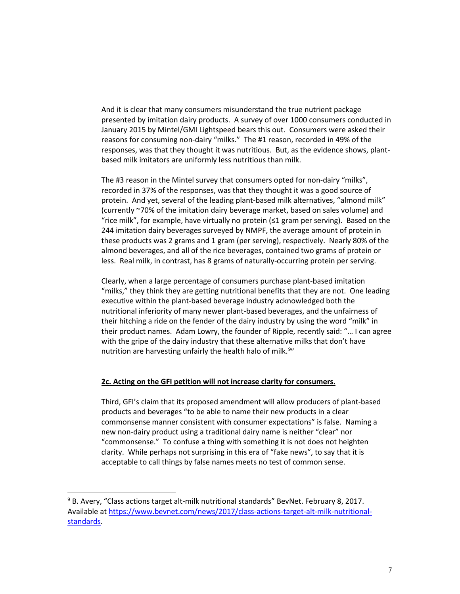And it is clear that many consumers misunderstand the true nutrient package presented by imitation dairy products. A survey of over 1000 consumers conducted in January 2015 by Mintel/GMI Lightspeed bears this out. Consumers were asked their reasons for consuming non-dairy "milks." The #1 reason, recorded in 49% of the responses, was that they thought it was nutritious. But, as the evidence shows, plantbased milk imitators are uniformly less nutritious than milk.

The #3 reason in the Mintel survey that consumers opted for non-dairy "milks", recorded in 37% of the responses, was that they thought it was a good source of protein. And yet, several of the leading plant-based milk alternatives, "almond milk" (currently ~70% of the imitation dairy beverage market, based on sales volume) and "rice milk", for example, have virtually no protein  $(\leq 1$  gram per serving). Based on the 244 imitation dairy beverages surveyed by NMPF, the average amount of protein in these products was 2 grams and 1 gram (per serving), respectively. Nearly 80% of the almond beverages, and all of the rice beverages, contained two grams of protein or less. Real milk, in contrast, has 8 grams of naturally-occurring protein per serving.

Clearly, when a large percentage of consumers purchase plant-based imitation "milks," they think they are getting nutritional benefits that they are not. One leading executive within the plant-based beverage industry acknowledged both the nutritional inferiority of many newer plant-based beverages, and the unfairness of their hitching a ride on the fender of the dairy industry by using the word "milk" in their product names. Adam Lowry, the founder of Ripple, recently said: "… I can agree with the gripe of the dairy industry that these alternative milks that don't have nutrition are harvesting unfairly the health halo of milk.<sup>[9](#page-6-0)</sup>"

### **2c. Acting on the GFI petition will not increase clarity for consumers.**

Third, GFI's claim that its proposed amendment will allow producers of plant-based products and beverages "to be able to name their new products in a clear commonsense manner consistent with consumer expectations" is false. Naming a new non-dairy product using a traditional dairy name is neither "clear" nor "commonsense." To confuse a thing with something it is not does not heighten clarity. While perhaps not surprising in this era of "fake news", to say that it is acceptable to call things by false names meets no test of common sense.

<span id="page-6-0"></span> $9$  B. Avery, "Class actions target alt-milk nutritional standards" BevNet. February 8, 2017. Available a[t https://www.bevnet.com/news/2017/class-actions-target-alt-milk-nutritional](https://www.bevnet.com/news/2017/class-actions-target-alt-milk-nutritional-standards)[standards.](https://www.bevnet.com/news/2017/class-actions-target-alt-milk-nutritional-standards)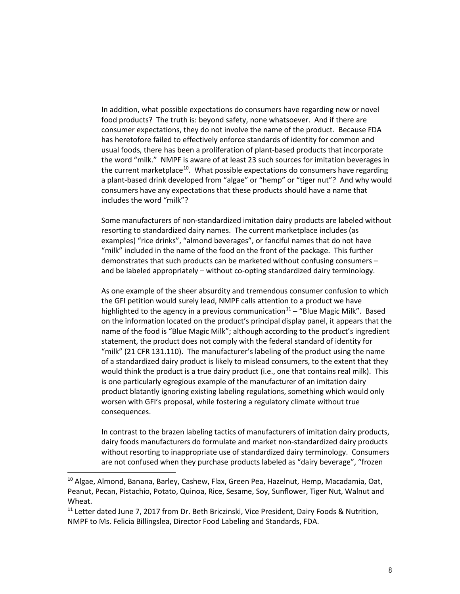In addition, what possible expectations do consumers have regarding new or novel food products? The truth is: beyond safety, none whatsoever. And if there are consumer expectations, they do not involve the name of the product. Because FDA has heretofore failed to effectively enforce standards of identity for common and usual foods, there has been a proliferation of plant-based products that incorporate the word "milk." NMPF is aware of at least 23 such sources for imitation beverages in the current marketplace<sup>[10](#page-7-0)</sup>. What possible expectations do consumers have regarding a plant-based drink developed from "algae" or "hemp" or "tiger nut"? And why would consumers have any expectations that these products should have a name that includes the word "milk"?

Some manufacturers of non-standardized imitation dairy products are labeled without resorting to standardized dairy names. The current marketplace includes (as examples) "rice drinks", "almond beverages", or fanciful names that do not have "milk" included in the name of the food on the front of the package. This further demonstrates that such products can be marketed without confusing consumers – and be labeled appropriately – without co-opting standardized dairy terminology.

As one example of the sheer absurdity and tremendous consumer confusion to which the GFI petition would surely lead, NMPF calls attention to a product we have highlighted to the agency in a previous communication<sup>[11](#page-7-1)</sup> – "Blue Magic Milk". Based on the information located on the product's principal display panel, it appears that the name of the food is "Blue Magic Milk"; although according to the product's ingredient statement, the product does not comply with the federal standard of identity for "milk" (21 CFR 131.110). The manufacturer's labeling of the product using the name of a standardized dairy product is likely to mislead consumers, to the extent that they would think the product is a true dairy product (i.e., one that contains real milk). This is one particularly egregious example of the manufacturer of an imitation dairy product blatantly ignoring existing labeling regulations, something which would only worsen with GFI's proposal, while fostering a regulatory climate without true consequences.

In contrast to the brazen labeling tactics of manufacturers of imitation dairy products, dairy foods manufacturers do formulate and market non-standardized dairy products without resorting to inappropriate use of standardized dairy terminology. Consumers are not confused when they purchase products labeled as "dairy beverage", "frozen

<span id="page-7-0"></span><sup>&</sup>lt;sup>10</sup> Algae, Almond, Banana, Barley, Cashew, Flax, Green Pea, Hazelnut, Hemp, Macadamia, Oat, Peanut, Pecan, Pistachio, Potato, Quinoa, Rice, Sesame, Soy, Sunflower, Tiger Nut, Walnut and Wheat.

<span id="page-7-1"></span> $11$  Letter dated June 7, 2017 from Dr. Beth Briczinski, Vice President, Dairy Foods & Nutrition, NMPF to Ms. Felicia Billingslea, Director Food Labeling and Standards, FDA.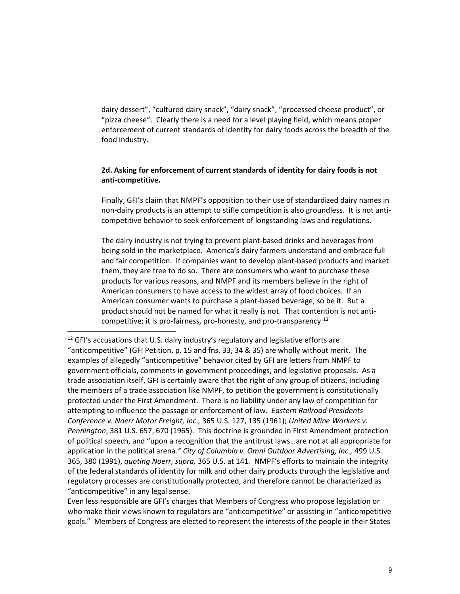dairy dessert", "cultured dairy snack", "dairy snack", "processed cheese product", or "pizza cheese". Clearly there is a need for a level playing field, which means proper enforcement of current standards of identity for dairy foods across the breadth of the food industry.

## **2d. Asking for enforcement of current standards of identity for dairy foods is not anti-competitive.**

Finally, GFI's claim that NMPF's opposition to their use of standardized dairy names in non-dairy products is an attempt to stifle competition is also groundless. It is not anticompetitive behavior to seek enforcement of longstanding laws and regulations.

The dairy industry is not trying to prevent plant-based drinks and beverages from being sold in the marketplace. America's dairy farmers understand and embrace full and fair competition. If companies want to develop plant-based products and market them, they are free to do so. There are consumers who want to purchase these products for various reasons, and NMPF and its members believe in the right of American consumers to have access to the widest array of food choices. If an American consumer wants to purchase a plant-based beverage, so be it. But a product should not be named for what it really is not. That contention is not anticompetitive; it is pro-fairness, pro-honesty, and pro-transparency[.12](#page-8-0)

 $\overline{a}$ 

Even less responsible are GFI's charges that Members of Congress who propose legislation or who make their views known to regulators are "anticompetitive" or assisting in "anticompetitive goals." Members of Congress are elected to represent the interests of the people in their States

<span id="page-8-0"></span><sup>&</sup>lt;sup>12</sup> GFI's accusations that U.S. dairy industry's regulatory and legislative efforts are "anticompetitive" (GFI Petition, p. 15 and fns. 33, 34 & 35) are wholly without merit. The examples of allegedly "anticompetitive" behavior cited by GFI are letters from NMPF to government officials, comments in government proceedings, and legislative proposals. As a trade association itself, GFI is certainly aware that the right of any group of citizens, including the members of a trade association like NMPF, to petition the government is constitutionally protected under the First Amendment. There is no liability under any law of competition for attempting to influence the passage or enforcement of law. *Eastern Railroad Presidents Conference v. Noerr Motor Freight, Inc.,* 365 U.S. 127, 135 (1961); *United Mine Workers v. Pennington*, 381 U.S. 657, 670 (1965). This doctrine is grounded in First Amendment protection of political speech, and "upon a recognition that the antitrust laws…are not at all appropriate for application in the political arena*." City of Columbia v. Omni Outdoor Advertising, Inc.,* 499 U.S. 365, 380 (1991), *quoting Noerr, supra,* 365 U.S. at 141*.* NMPF's efforts to maintain the integrity of the federal standards of identity for milk and other dairy products through the legislative and regulatory processes are constitutionally protected, and therefore cannot be characterized as "anticompetitive" in any legal sense.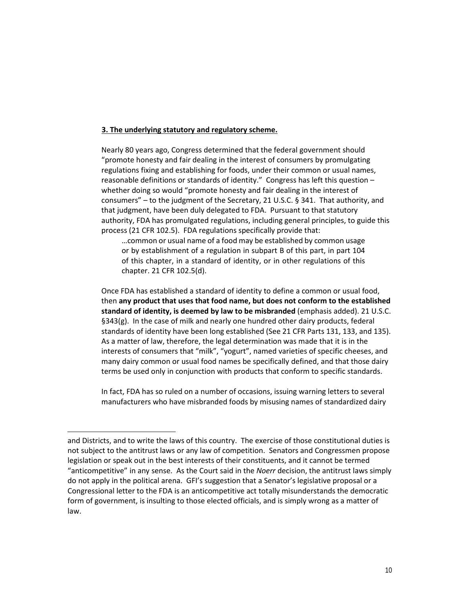#### **3. The underlying statutory and regulatory scheme.**

Nearly 80 years ago, Congress determined that the federal government should "promote honesty and fair dealing in the interest of consumers by promulgating regulations fixing and establishing for foods, under their common or usual names, reasonable definitions or standards of identity." Congress has left this question – whether doing so would "promote honesty and fair dealing in the interest of consumers" – to the judgment of the Secretary, 21 U.S.C. § 341. That authority, and that judgment, have been duly delegated to FDA. Pursuant to that statutory authority, FDA has promulgated regulations, including general principles, to guide this process (21 CFR 102.5). FDA regulations specifically provide that:

…common or usual name of a food may be established by common usage or by establishment of a regulation in subpart B of this part, in part 104 of this chapter, in a standard of identity, or in other regulations of this chapter. 21 CFR 102.5(d).

Once FDA has established a standard of identity to define a common or usual food, then **any product that uses that food name, but does not conform to the established standard of identity, is deemed by law to be misbranded** (emphasis added). 21 U.S.C. §343(g). In the case of milk and nearly one hundred other dairy products, federal standards of identity have been long established (See 21 CFR Parts 131, 133, and 135). As a matter of law, therefore, the legal determination was made that it is in the interests of consumers that "milk", "yogurt", named varieties of specific cheeses, and many dairy common or usual food names be specifically defined, and that those dairy terms be used only in conjunction with products that conform to specific standards.

In fact, FDA has so ruled on a number of occasions, issuing warning letters to several manufacturers who have misbranded foods by misusing names of standardized dairy

and Districts, and to write the laws of this country. The exercise of those constitutional duties is not subject to the antitrust laws or any law of competition. Senators and Congressmen propose legislation or speak out in the best interests of their constituents, and it cannot be termed "anticompetitive" in any sense. As the Court said in the *Noerr* decision, the antitrust laws simply do not apply in the political arena. GFI's suggestion that a Senator's legislative proposal or a Congressional letter to the FDA is an anticompetitive act totally misunderstands the democratic form of government, is insulting to those elected officials, and is simply wrong as a matter of law.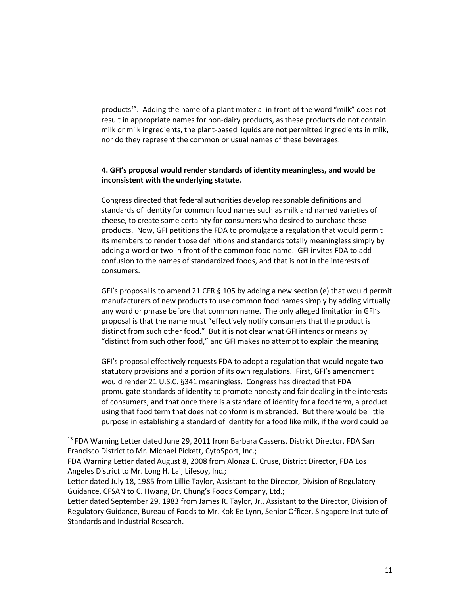products<sup>[13](#page-10-0)</sup>. Adding the name of a plant material in front of the word "milk" does not result in appropriate names for non-dairy products, as these products do not contain milk or milk ingredients, the plant-based liquids are not permitted ingredients in milk, nor do they represent the common or usual names of these beverages.

## **4. GFI's proposal would render standards of identity meaningless, and would be inconsistent with the underlying statute.**

Congress directed that federal authorities develop reasonable definitions and standards of identity for common food names such as milk and named varieties of cheese, to create some certainty for consumers who desired to purchase these products. Now, GFI petitions the FDA to promulgate a regulation that would permit its members to render those definitions and standards totally meaningless simply by adding a word or two in front of the common food name. GFI invites FDA to add confusion to the names of standardized foods, and that is not in the interests of consumers.

GFI's proposal is to amend 21 CFR § 105 by adding a new section (e) that would permit manufacturers of new products to use common food names simply by adding virtually any word or phrase before that common name. The only alleged limitation in GFI's proposal is that the name must "effectively notify consumers that the product is distinct from such other food." But it is not clear what GFI intends or means by "distinct from such other food," and GFI makes no attempt to explain the meaning.

GFI's proposal effectively requests FDA to adopt a regulation that would negate two statutory provisions and a portion of its own regulations. First, GFI's amendment would render 21 U.S.C. §341 meaningless. Congress has directed that FDA promulgate standards of identity to promote honesty and fair dealing in the interests of consumers; and that once there is a standard of identity for a food term, a product using that food term that does not conform is misbranded. But there would be little purpose in establishing a standard of identity for a food like milk, if the word could be

<span id="page-10-0"></span><sup>&</sup>lt;sup>13</sup> FDA Warning Letter dated June 29, 2011 from Barbara Cassens, District Director, FDA San Francisco District to Mr. Michael Pickett, CytoSport, Inc.;

FDA Warning Letter dated August 8, 2008 from Alonza E. Cruse, District Director, FDA Los Angeles District to Mr. Long H. Lai, Lifesoy, Inc.;

Letter dated July 18, 1985 from Lillie Taylor, Assistant to the Director, Division of Regulatory Guidance, CFSAN to C. Hwang, Dr. Chung's Foods Company, Ltd.;

Letter dated September 29, 1983 from James R. Taylor, Jr., Assistant to the Director, Division of Regulatory Guidance, Bureau of Foods to Mr. Kok Ee Lynn, Senior Officer, Singapore Institute of Standards and Industrial Research.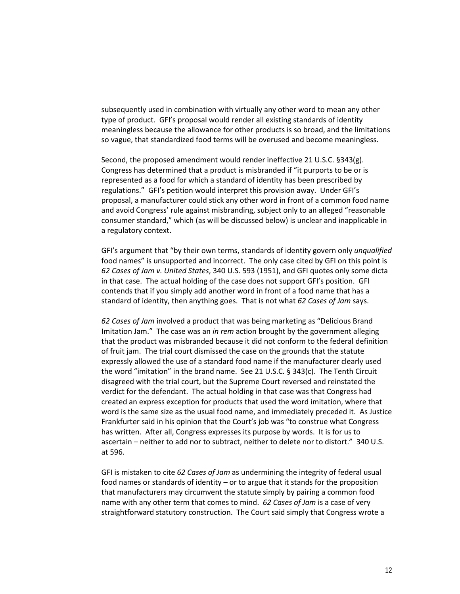subsequently used in combination with virtually any other word to mean any other type of product. GFI's proposal would render all existing standards of identity meaningless because the allowance for other products is so broad, and the limitations so vague, that standardized food terms will be overused and become meaningless.

Second, the proposed amendment would render ineffective 21 U.S.C. §343(g). Congress has determined that a product is misbranded if "it purports to be or is represented as a food for which a standard of identity has been prescribed by regulations." GFI's petition would interpret this provision away. Under GFI's proposal, a manufacturer could stick any other word in front of a common food name and avoid Congress' rule against misbranding, subject only to an alleged "reasonable consumer standard," which (as will be discussed below) is unclear and inapplicable in a regulatory context.

GFI's argument that "by their own terms, standards of identity govern only *unqualified* food names" is unsupported and incorrect. The only case cited by GFI on this point is *62 Cases of Jam v. United States*, 340 U.S. 593 (1951), and GFI quotes only some dicta in that case. The actual holding of the case does not support GFI's position. GFI contends that if you simply add another word in front of a food name that has a standard of identity, then anything goes. That is not what *62 Cases of Jam* says.

*62 Cases of Jam* involved a product that was being marketing as "Delicious Brand Imitation Jam." The case was an *in rem* action brought by the government alleging that the product was misbranded because it did not conform to the federal definition of fruit jam. The trial court dismissed the case on the grounds that the statute expressly allowed the use of a standard food name if the manufacturer clearly used the word "imitation" in the brand name. See 21 U.S.C. § 343(c). The Tenth Circuit disagreed with the trial court, but the Supreme Court reversed and reinstated the verdict for the defendant. The actual holding in that case was that Congress had created an express exception for products that used the word imitation, where that word is the same size as the usual food name, and immediately preceded it. As Justice Frankfurter said in his opinion that the Court's job was "to construe what Congress has written. After all, Congress expresses its purpose by words. It is for us to ascertain – neither to add nor to subtract, neither to delete nor to distort." 340 U.S. at 596.

GFI is mistaken to cite *62 Cases of Jam* as undermining the integrity of federal usual food names or standards of identity – or to argue that it stands for the proposition that manufacturers may circumvent the statute simply by pairing a common food name with any other term that comes to mind. *62 Cases of Jam* is a case of very straightforward statutory construction. The Court said simply that Congress wrote a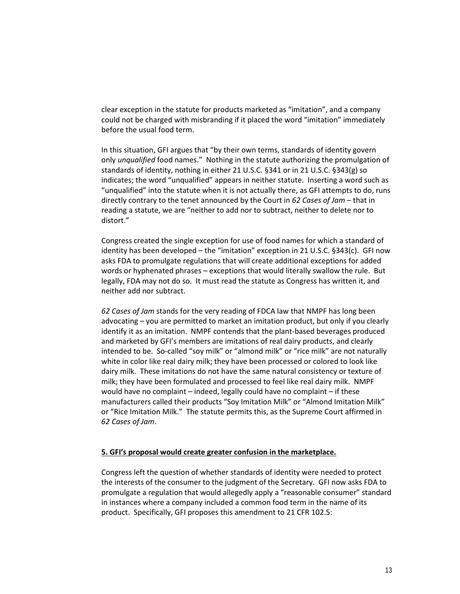clear exception in the statute for products marketed as "imitation", and a company could not be charged with misbranding if it placed the word "imitation" immediately before the usual food term.

In this situation, GFI argues that "by their own terms, standards of identity govern only *unqualified* food names." Nothing in the statute authorizing the promulgation of standards of identity, nothing in either 21 U.S.C. §341 or in 21 U.S.C. §343(g) so indicates; the word "unqualified" appears in neither statute. Inserting a word such as "unqualified" into the statute when it is not actually there, as GFI attempts to do, runs directly contrary to the tenet announced by the Court in *62 Cases of Jam* – that in reading a statute, we are "neither to add nor to subtract, neither to delete nor to distort."

Congress created the single exception for use of food names for which a standard of identity has been developed – the "imitation" exception in 21 U.S.C. §343(c). GFI now asks FDA to promulgate regulations that will create additional exceptions for added words or hyphenated phrases – exceptions that would literally swallow the rule. But legally, FDA may not do so. It must read the statute as Congress has written it, and neither add nor subtract.

*62 Cases of Jam* stands for the very reading of FDCA law that NMPF has long been advocating – you are permitted to market an imitation product, but only if you clearly identify it as an imitation. NMPF contends that the plant-based beverages produced and marketed by GFI's members are imitations of real dairy products, and clearly intended to be. So-called "soy milk" or "almond milk" or "rice milk" are not naturally white in color like real dairy milk; they have been processed or colored to look like dairy milk. These imitations do not have the same natural consistency or texture of milk; they have been formulated and processed to feel like real dairy milk. NMPF would have no complaint – indeed, legally could have no complaint – if these manufacturers called their products "Soy Imitation Milk" or "Almond Imitation Milk" or "Rice Imitation Milk." The statute permits this, as the Supreme Court affirmed in *62 Cases of Jam*.

#### **5. GFI's proposal would create greater confusion in the marketplace.**

Congress left the question of whether standards of identity were needed to protect the interests of the consumer to the judgment of the Secretary. GFI now asks FDA to promulgate a regulation that would allegedly apply a "reasonable consumer" standard in instances where a company included a common food term in the name of its product. Specifically, GFI proposes this amendment to 21 CFR 102.5: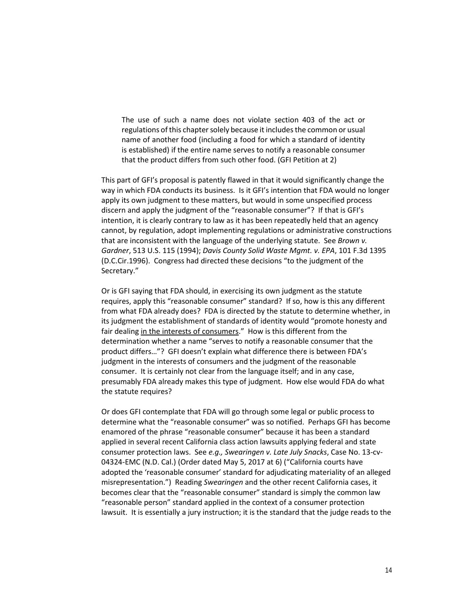The use of such a name does not violate section 403 of the act or regulations of this chapter solely because it includes the common or usual name of another food (including a food for which a standard of identity is established) if the entire name serves to notify a reasonable consumer that the product differs from such other food. (GFI Petition at 2)

This part of GFI's proposal is patently flawed in that it would significantly change the way in which FDA conducts its business. Is it GFI's intention that FDA would no longer apply its own judgment to these matters, but would in some unspecified process discern and apply the judgment of the "reasonable consumer"? If that is GFI's intention, it is clearly contrary to law as it has been repeatedly held that an agency cannot, by regulation, adopt implementing regulations or administrative constructions that are inconsistent with the language of the underlying statute. See *Brown v. Gardner*, 513 U.S. 115 (1994); *Davis County Solid Waste Mgmt. v. EPA*, 101 F.3d 1395 (D.C.Cir.1996). Congress had directed these decisions "to the judgment of the Secretary."

Or is GFI saying that FDA should, in exercising its own judgment as the statute requires, apply this "reasonable consumer" standard? If so, how is this any different from what FDA already does? FDA is directed by the statute to determine whether, in its judgment the establishment of standards of identity would "promote honesty and fair dealing in the interests of consumers." How is this different from the determination whether a name "serves to notify a reasonable consumer that the product differs…"? GFI doesn't explain what difference there is between FDA's judgment in the interests of consumers and the judgment of the reasonable consumer. It is certainly not clear from the language itself; and in any case, presumably FDA already makes this type of judgment. How else would FDA do what the statute requires?

Or does GFI contemplate that FDA will go through some legal or public process to determine what the "reasonable consumer" was so notified. Perhaps GFI has become enamored of the phrase "reasonable consumer" because it has been a standard applied in several recent California class action lawsuits applying federal and state consumer protection laws. See *e.g., Swearingen v. Late July Snacks*, Case No. 13-cv-04324-EMC (N.D. Cal.) (Order dated May 5, 2017 at 6) ("California courts have adopted the 'reasonable consumer' standard for adjudicating materiality of an alleged misrepresentation.") Reading *Swearingen* and the other recent California cases, it becomes clear that the "reasonable consumer" standard is simply the common law "reasonable person" standard applied in the context of a consumer protection lawsuit. It is essentially a jury instruction; it is the standard that the judge reads to the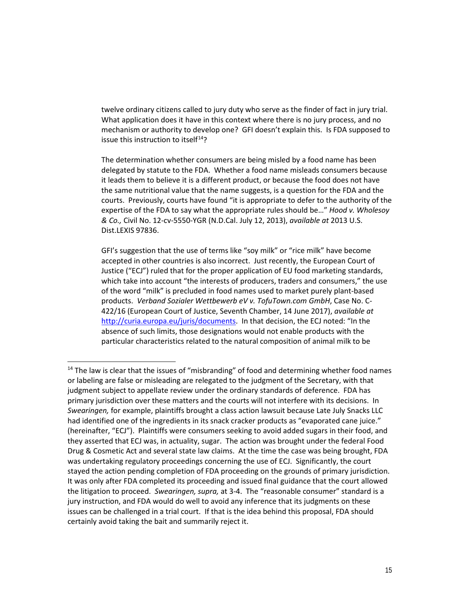twelve ordinary citizens called to jury duty who serve as the finder of fact in jury trial. What application does it have in this context where there is no jury process, and no mechanism or authority to develop one? GFI doesn't explain this. Is FDA supposed to issue this instruction to itsel $f^{14}$ ?

The determination whether consumers are being misled by a food name has been delegated by statute to the FDA. Whether a food name misleads consumers because it leads them to believe it is a different product, or because the food does not have the same nutritional value that the name suggests, is a question for the FDA and the courts. Previously, courts have found "it is appropriate to defer to the authority of the expertise of the FDA to say what the appropriate rules should be…" *Hood v. Wholesoy & Co.,* Civil No. 12-cv-5550-YGR (N.D.Cal. July 12, 2013), *available at* 2013 U.S. Dist.LEXIS 97836.

GFI's suggestion that the use of terms like "soy milk" or "rice milk" have become accepted in other countries is also incorrect. Just recently, the European Court of Justice ("ECJ") ruled that for the proper application of EU food marketing standards, which take into account "the interests of producers, traders and consumers," the use of the word "milk" is precluded in food names used to market purely plant-based products. *Verband Sozialer Wettbewerb eV v. TofuTown.com GmbH*, Case No. C-422/16 (European Court of Justice, Seventh Chamber, 14 June 2017), *available at* [http://curia.europa.eu/juris/documents.](http://curia.europa.eu/juris/documents) In that decision, the ECJ noted: "In the absence of such limits, those designations would not enable products with the particular characteristics related to the natural composition of animal milk to be

<span id="page-14-0"></span> $<sup>14</sup>$  The law is clear that the issues of "misbranding" of food and determining whether food names</sup> or labeling are false or misleading are relegated to the judgment of the Secretary, with that judgment subject to appellate review under the ordinary standards of deference. FDA has primary jurisdiction over these matters and the courts will not interfere with its decisions. In *Swearingen,* for example, plaintiffs brought a class action lawsuit because Late July Snacks LLC had identified one of the ingredients in its snack cracker products as "evaporated cane juice." (hereinafter, "ECJ"). Plaintiffs were consumers seeking to avoid added sugars in their food, and they asserted that ECJ was, in actuality, sugar. The action was brought under the federal Food Drug & Cosmetic Act and several state law claims. At the time the case was being brought, FDA was undertaking regulatory proceedings concerning the use of ECJ. Significantly, the court stayed the action pending completion of FDA proceeding on the grounds of primary jurisdiction. It was only after FDA completed its proceeding and issued final guidance that the court allowed the litigation to proceed. *Swearingen, supra,* at 3-4. The "reasonable consumer" standard is a jury instruction, and FDA would do well to avoid any inference that its judgments on these issues can be challenged in a trial court. If that is the idea behind this proposal, FDA should certainly avoid taking the bait and summarily reject it.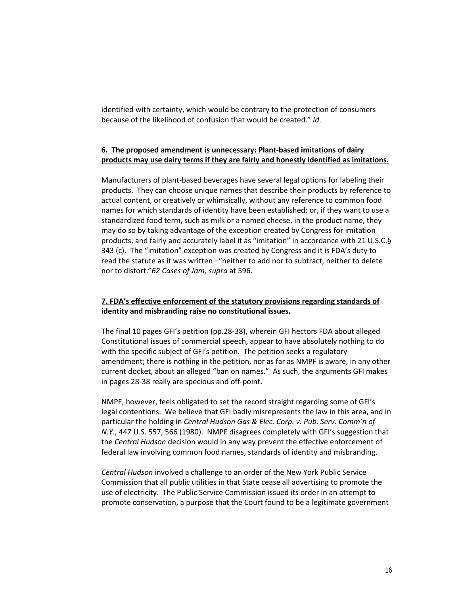identified with certainty, which would be contrary to the protection of consumers because of the likelihood of confusion that would be created." *Id*.

## **6. The proposed amendment is unnecessary: Plant-based imitations of dairy products may use dairy terms if they are fairly and honestly identified as imitations.**

Manufacturers of plant-based beverages have several legal options for labeling their products. They can choose unique names that describe their products by reference to actual content, or creatively or whimsically, without any reference to common food names for which standards of identity have been established; or, if they want to use a standardized food term, such as milk or a named cheese, in the product name, they may do so by taking advantage of the exception created by Congress for imitation products, and fairly and accurately label it as "imitation" in accordance with 21 U.S.C.§ 343 (c). The "imitation" exception was created by Congress and it is FDA's duty to read the statute as it was written –"neither to add nor to subtract, neither to delete nor to distort."*62 Cases of Jam, supra* at 596.

## **7. FDA's effective enforcement of the statutory provisions regarding standards of identity and misbranding raise no constitutional issues.**

The final 10 pages GFI's petition (pp.28-38), wherein GFI hectors FDA about alleged Constitutional issues of commercial speech, appear to have absolutely nothing to do with the specific subject of GFI's petition. The petition seeks a regulatory amendment; there is nothing in the petition, nor as far as NMPF is aware, in any other current docket, about an alleged "ban on names." As such, the arguments GFI makes in pages 28-38 really are specious and off-point.

NMPF, however, feels obligated to set the record straight regarding some of GFI's legal contentions. We believe that GFI badly misrepresents the law in this area, and in particular the holding in *Central Hudson Gas & Elec. Corp. v. Pub. Serv. Comm'n of N.Y.*, 447 U.S. 557, 566 (1980). NMPF disagrees completely with GFI's suggestion that the *Central Hudson* decision would in any way prevent the effective enforcement of federal law involving common food names, standards of identity and misbranding.

*Central Hudson* involved a challenge to an order of the New York Public Service Commission that all public utilities in that State cease all advertising to promote the use of electricity. The Public Service Commission issued its order in an attempt to promote conservation, a purpose that the Court found to be a legitimate government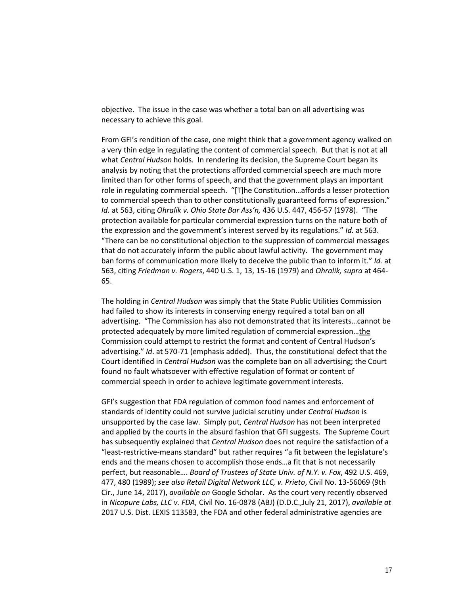objective. The issue in the case was whether a total ban on all advertising was necessary to achieve this goal.

From GFI's rendition of the case, one might think that a government agency walked on a very thin edge in regulating the content of commercial speech. But that is not at all what *Central Hudson* holds. In rendering its decision, the Supreme Court began its analysis by noting that the protections afforded commercial speech are much more limited than for other forms of speech, and that the government plays an important role in regulating commercial speech. "[T]he Constitution…affords a lesser protection to commercial speech than to other constitutionally guaranteed forms of expression." *Id.* at 563, citing *Ohralik v. Ohio State Bar Ass'n,* 436 U.S. 447, 456-57 (1978). "The protection available for particular commercial expression turns on the nature both of the expression and the government's interest served by its regulations." *Id.* at 563. "There can be no constitutional objection to the suppression of commercial messages that do not accurately inform the public about lawful activity. The government may ban forms of communication more likely to deceive the public than to inform it." *Id.* at 563, citing *Friedman v. Rogers*, 440 U.S. 1, 13, 15-16 (1979) and *Ohralik, supra* at 464- 65.

The holding in *Central Hudson* was simply that the State Public Utilities Commission had failed to show its interests in conserving energy required a total ban on all advertising. "The Commission has also not demonstrated that its interests…cannot be protected adequately by more limited regulation of commercial expression…the Commission could attempt to restrict the format and content of Central Hudson's advertising." *Id*. at 570-71 (emphasis added). Thus, the constitutional defect that the Court identified in *Central Hudson* was the complete ban on all advertising; the Court found no fault whatsoever with effective regulation of format or content of commercial speech in order to achieve legitimate government interests.

GFI's suggestion that FDA regulation of common food names and enforcement of standards of identity could not survive judicial scrutiny under *Central Hudson* is unsupported by the case law. Simply put, *Central Hudson* has not been interpreted and applied by the courts in the absurd fashion that GFI suggests. The Supreme Court has subsequently explained that *Central Hudson* does not require the satisfaction of a "least-restrictive-means standard" but rather requires "a fit between the legislature's ends and the means chosen to accomplish those ends…a fit that is not necessarily perfect, but reasonable…. *Board of Trustees of State Univ. of N.Y. v. Fox*, 492 U.S. 469, 477, 480 (1989); *see also Retail Digital Network LLC, v. Prieto*, Civil No. 13-56069 (9th Cir., June 14, 2017), *available on* Google Scholar. As the court very recently observed in *Nicopure Labs, LLC v. FDA,* Civil No. 16-0878 (ABJ) (D.D.C.,July 21, 2017), *available at* 2017 U.S. Dist. LEXIS 113583, the FDA and other federal administrative agencies are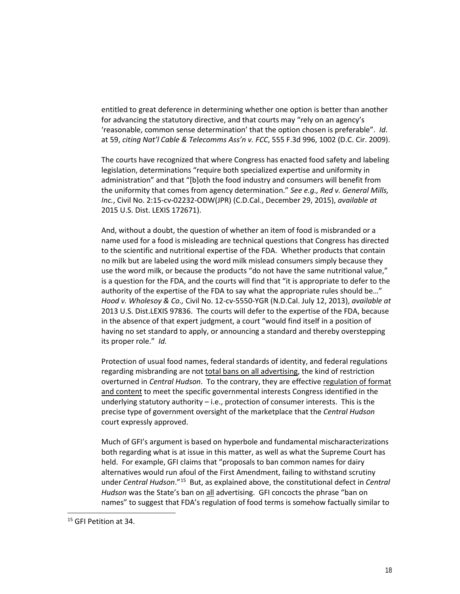entitled to great deference in determining whether one option is better than another for advancing the statutory directive, and that courts may "rely on an agency's 'reasonable, common sense determination' that the option chosen is preferable". *Id*. at 59, *citing Nat'l Cable & Telecomms Ass'n v. FCC*, 555 F.3d 996, 1002 (D.C. Cir. 2009).

The courts have recognized that where Congress has enacted food safety and labeling legislation, determinations "require both specialized expertise and uniformity in administration" and that "[b]oth the food industry and consumers will benefit from the uniformity that comes from agency determination." *See e.g., Red v. General Mills, Inc.*, Civil No. 2:15-cv-02232-ODW(JPR) (C.D.Cal., December 29, 2015), *available at* 2015 U.S. Dist. LEXIS 172671).

And, without a doubt, the question of whether an item of food is misbranded or a name used for a food is misleading are technical questions that Congress has directed to the scientific and nutritional expertise of the FDA. Whether products that contain no milk but are labeled using the word milk mislead consumers simply because they use the word milk, or because the products "do not have the same nutritional value," is a question for the FDA, and the courts will find that "it is appropriate to defer to the authority of the expertise of the FDA to say what the appropriate rules should be…" *Hood v. Wholesoy & Co.,* Civil No. 12-cv-5550-YGR (N.D.Cal. July 12, 2013), *available at* 2013 U.S. Dist.LEXIS 97836. The courts will defer to the expertise of the FDA, because in the absence of that expert judgment, a court "would find itself in a position of having no set standard to apply, or announcing a standard and thereby overstepping its proper role." *Id.*

Protection of usual food names, federal standards of identity, and federal regulations regarding misbranding are not total bans on all advertising, the kind of restriction overturned in *Central Hudson*. To the contrary, they are effective regulation of format and content to meet the specific governmental interests Congress identified in the underlying statutory authority – i.e., protection of consumer interests. This is the precise type of government oversight of the marketplace that the *Central Hudson* court expressly approved.

Much of GFI's argument is based on hyperbole and fundamental mischaracterizations both regarding what is at issue in this matter, as well as what the Supreme Court has held. For example, GFI claims that "proposals to ban common names for dairy alternatives would run afoul of the First Amendment, failing to withstand scrutiny under *Central Hudson*."[15](#page-17-0) But, as explained above, the constitutional defect in *Central Hudson* was the State's ban on all advertising. GFI concocts the phrase "ban on names" to suggest that FDA's regulation of food terms is somehow factually similar to

<span id="page-17-0"></span><sup>15</sup> GFI Petition at 34.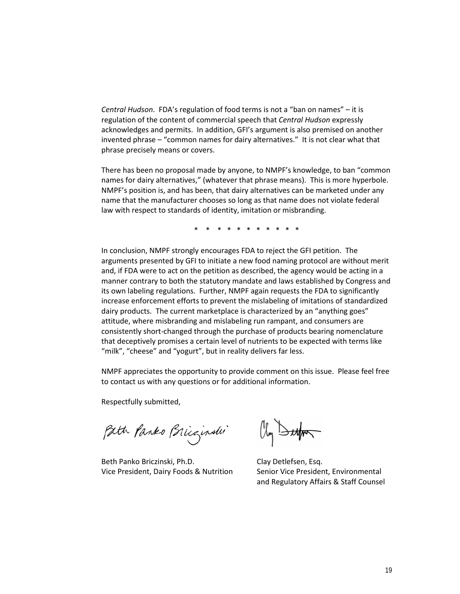*Central Hudson*. FDA's regulation of food terms is not a "ban on names" – it is regulation of the content of commercial speech that *Central Hudson* expressly acknowledges and permits. In addition, GFI's argument is also premised on another invented phrase – "common names for dairy alternatives." It is not clear what that phrase precisely means or covers.

There has been no proposal made by anyone, to NMPF's knowledge, to ban "common names for dairy alternatives," (whatever that phrase means). This is more hyperbole. NMPF's position is, and has been, that dairy alternatives can be marketed under any name that the manufacturer chooses so long as that name does not violate federal law with respect to standards of identity, imitation or misbranding.

\* \* \* \* \* \* \* \* \* \* \*

In conclusion, NMPF strongly encourages FDA to reject the GFI petition. The arguments presented by GFI to initiate a new food naming protocol are without merit and, if FDA were to act on the petition as described, the agency would be acting in a manner contrary to both the statutory mandate and laws established by Congress and its own labeling regulations. Further, NMPF again requests the FDA to significantly increase enforcement efforts to prevent the mislabeling of imitations of standardized dairy products. The current marketplace is characterized by an "anything goes" attitude, where misbranding and mislabeling run rampant, and consumers are consistently short-changed through the purchase of products bearing nomenclature that deceptively promises a certain level of nutrients to be expected with terms like "milk", "cheese" and "yogurt", but in reality delivers far less.

NMPF appreciates the opportunity to provide comment on this issue. Please feel free to contact us with any questions or for additional information.

Respectfully submitted,

Path Panko Brizinshi

Beth Panko Briczinski, Ph.D. Clay Detlefsen, Esq. Vice President, Dairy Foods & Nutrition Senior Vice President, Environmental

Oly Buffer

and Regulatory Affairs & Staff Counsel